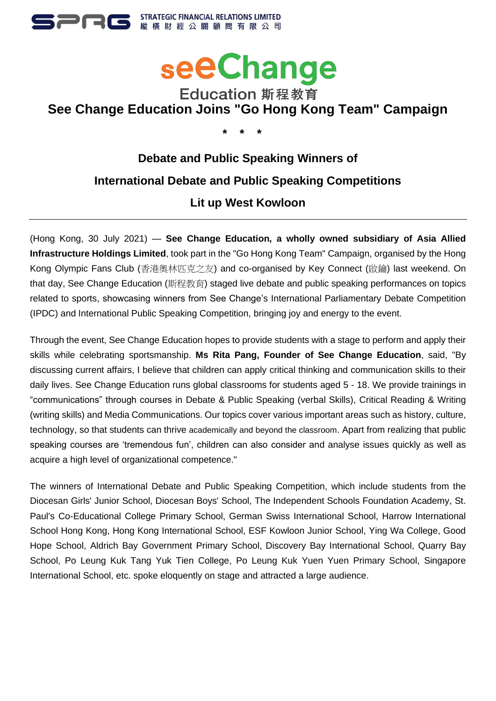



## Education 斯程教育 **See Change Education Joins "Go Hong Kong Team" Campaign**

**\* \* \***

# **Debate and Public Speaking Winners of International Debate and Public Speaking Competitions Lit up West Kowloon**

(Hong Kong, 30 July 2021) — **See Change Education, a wholly owned subsidiary of Asia Allied Infrastructure Holdings Limited**, took part in the "Go Hong Kong Team" Campaign, organised by the Hong Kong Olympic Fans Club (香港奧林匹克之友) and co-organised by Key Connect (啟鑰) last weekend. On that day, See Change Education (斯程教育) staged live debate and public speaking performances on topics related to sports, showcasing winners from See Change's International Parliamentary Debate Competition (IPDC) and International Public Speaking Competition, bringing joy and energy to the event.

Through the event, See Change Education hopes to provide students with a stage to perform and apply their skills while celebrating sportsmanship. **Ms Rita Pang, Founder of See Change Education**, said, "By discussing current affairs, I believe that children can apply critical thinking and communication skills to their daily lives. See Change Education runs global classrooms for students aged 5 - 18. We provide trainings in "communications" through courses in Debate & Public Speaking (verbal Skills), Critical Reading & Writing (writing skills) and Media Communications. Our topics cover various important areas such as history, culture, technology, so that students can thrive academically and beyond the classroom. Apart from realizing that public speaking courses are 'tremendous fun', children can also consider and analyse issues quickly as well as acquire a high level of organizational competence."

The winners of International Debate and Public Speaking Competition, which include students from the Diocesan Girls' Junior School, Diocesan Boys' School, The Independent Schools Foundation Academy, St. Paul's Co-Educational College Primary School, German Swiss International School, Harrow International School Hong Kong, Hong Kong International School, ESF Kowloon Junior School, Ying Wa College, Good Hope School, Aldrich Bay Government Primary School, Discovery Bay International School, Quarry Bay School, Po Leung Kuk Tang Yuk Tien College, Po Leung Kuk Yuen Yuen Primary School, Singapore International School, etc. spoke eloquently on stage and attracted a large audience.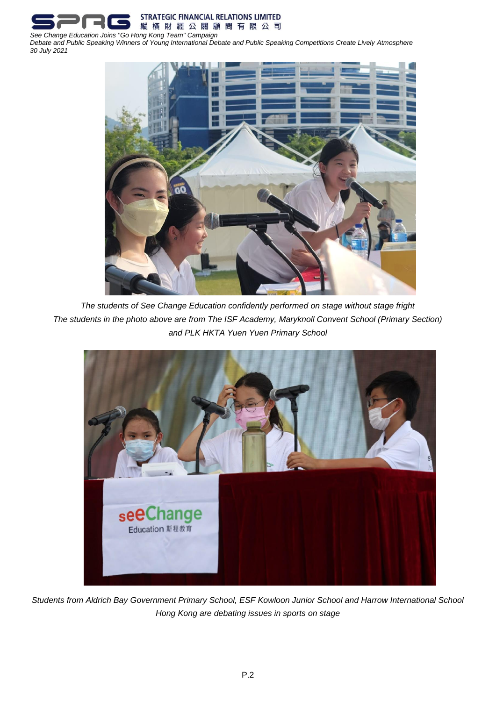

*Debate and Public Speaking Winners of Young International Debate and Public Speaking Competitions Create Lively Atmosphere 30 July 2021*



*The students of See Change Education confidently performed on stage without stage fright The students in the photo above are from The ISF Academy, Maryknoll Convent School (Primary Section) and PLK HKTA Yuen Yuen Primary School*



*Students from Aldrich Bay Government Primary School, ESF Kowloon Junior School and Harrow International School Hong Kong are debating issues in sports on stage*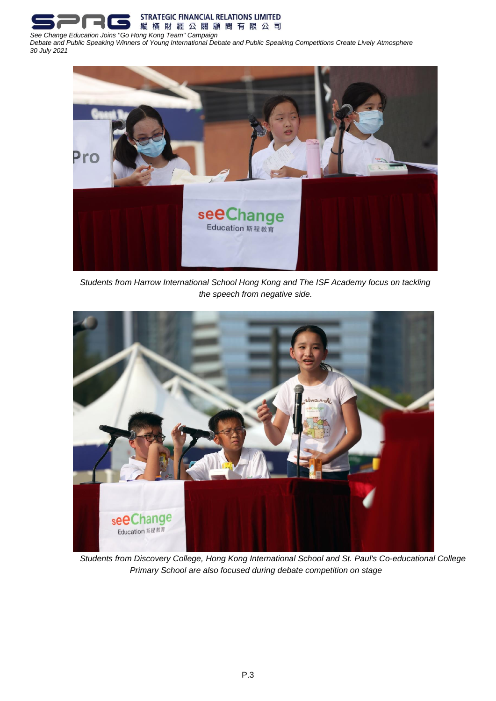

*Debate and Public Speaking Winners of Young International Debate and Public Speaking Competitions Create Lively Atmosphere 30 July 2021*



*Students from Harrow International School Hong Kong and The ISF Academy focus on tackling the speech from negative side.*



*Students from Discovery College, Hong Kong International School and St. Paul's Co-educational College Primary School are also focused during debate competition on stage*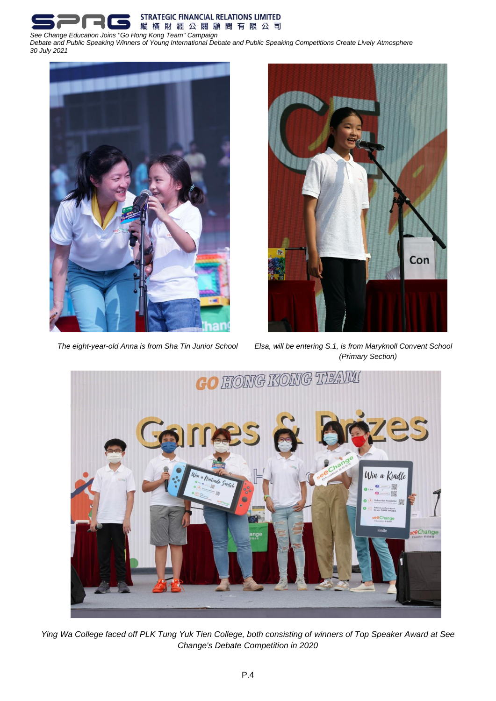**STRATEGIC FINANCIAL RELATIONS LIMITED** 縱橫財經公關顧問有限公司 *See Change Education Joins "Go Hong Kong Team" Campaign* 

*Debate and Public Speaking Winners of Young International Debate and Public Speaking Competitions Create Lively Atmosphere 30 July 2021*





*The eight-year-old Anna is from Sha Tin Junior School Elsa, will be entering S.1, is from Maryknoll Convent School (Primary Section)*



*Ying Wa College faced off PLK Tung Yuk Tien College, both consisting of winners of Top Speaker Award at See Change's Debate Competition in 2020*